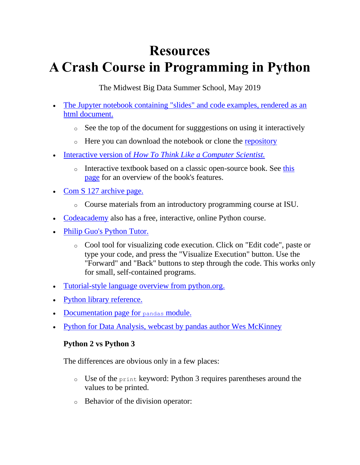## **Resources A Crash Course in Programming in Python**

The Midwest Big Data Summer School, May 2019

- [The Jupyter notebook containing "slides" and code examples, rendered as an](https://github.com/smkautz/mdbs19/blob/master/mbds19.ipynb)  [html document.](https://github.com/smkautz/mdbs19/blob/master/mbds19.ipynb)
	- o See the top of the document for sugggestions on using it interactively
	- o Here you can download the notebook or clone the [repository](https://github.com/smkautz/mbds19)
- Interactive version of *[How To Think Like a Computer](http://interactivepython.org/runestone/static/thinkcspy/index.html) Scientist.*
	- o Interactive textbook based on a classic open-source book. See this [page](http://interactivepython.org/runestone/static/thinkcspy/index.html) for an overview of the book's features.
- [Com S 127 archive page.](https://faculty.sites.iastate.edu/smkautz/archived-127x-materials-fall-2019)
	- o Course materials from an introductory programming course at ISU.
- [Codeacademy](http://www.codeacademy.com/) also has a free, interactive, online Python course.
- [Philip Guo's Python Tutor.](http://www.pythontutor.com/)
	- o Cool tool for visualizing code execution. Click on "Edit code", paste or type your code, and press the "Visualize Execution" button. Use the "Forward" and "Back" buttons to step through the code. This works only for small, self-contained programs.
- [Tutorial-style language overview from python.org.](https://docs.python.org/3/tutorial/index.html)
- [Python library reference.](https://docs.python.org/3/library/index.html)
- [Documentation page for](http://pandas.pydata.org/pandas-docs/stable/) pandas module.
- [Python for Data Analysis, webcast by pandas author Wes McKinney](http://www.oreilly.com/pub/e/2412)

## **Python 2 vs Python 3**

The differences are obvious only in a few places:

- o Use of the print keyword: Python 3 requires parentheses around the values to be printed.
- o Behavior of the division operator: